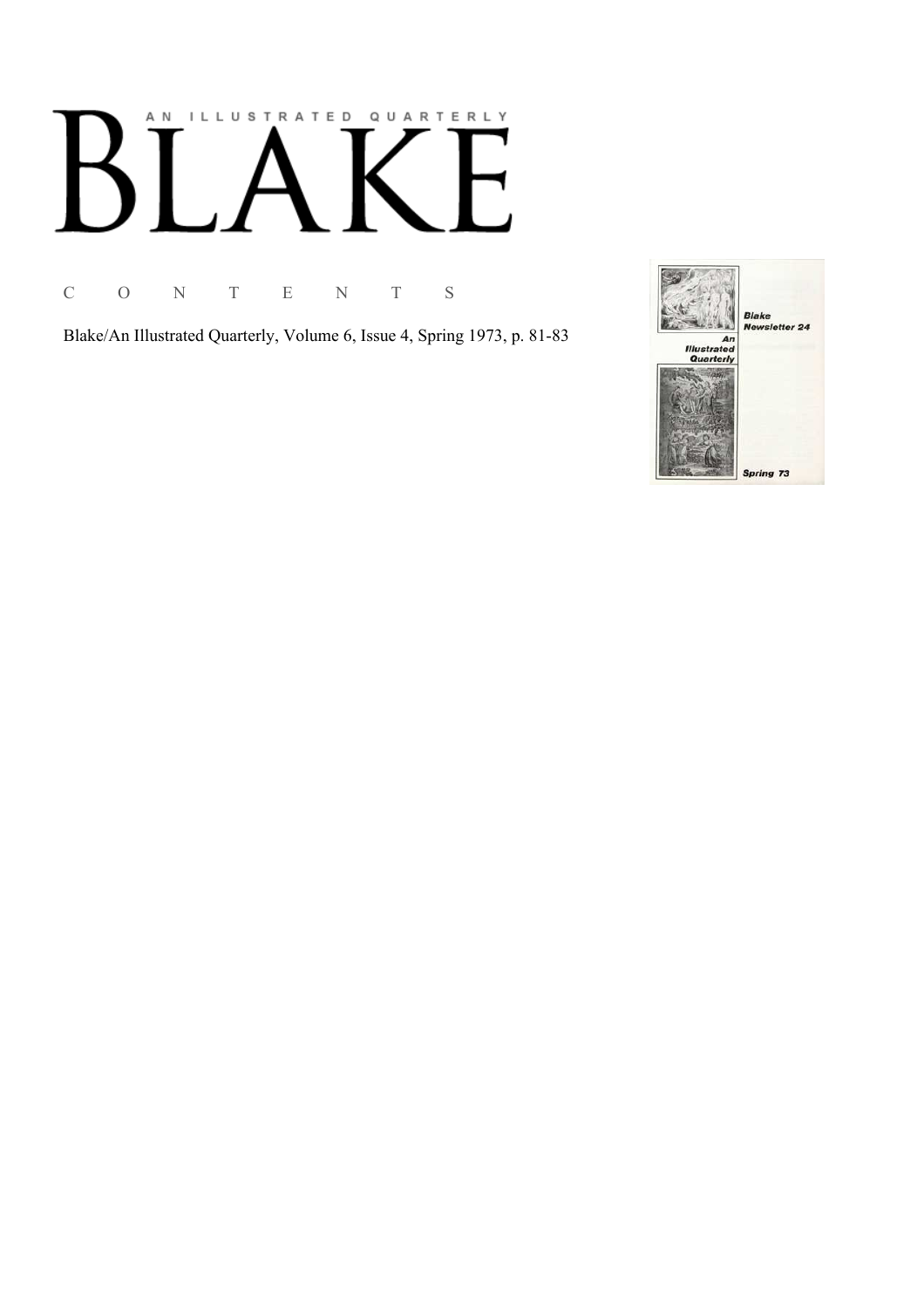## AN ILLUSTRATED QUARTERLY  $\begin{bmatrix} 1 & 1 \\ 1 & 1 \end{bmatrix}$ Ӄ

C O N T E N T S

Blake/An Illustrated Quarterly, Volume 6, Issue 4, Spring 1973, p. 81-83

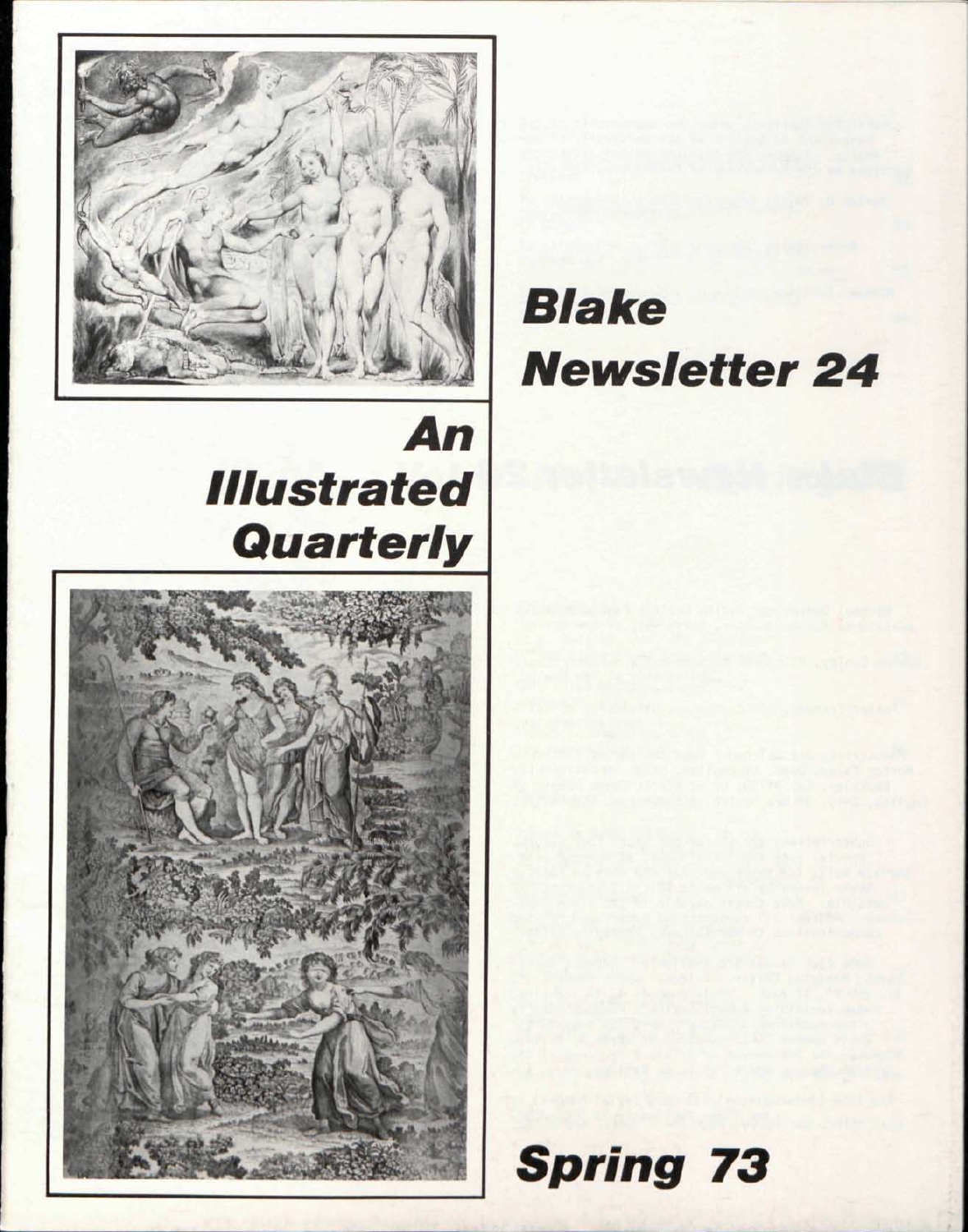

## An **Illustrated** Quarterly



# **Blake Newsletter 24**

**Spring 73**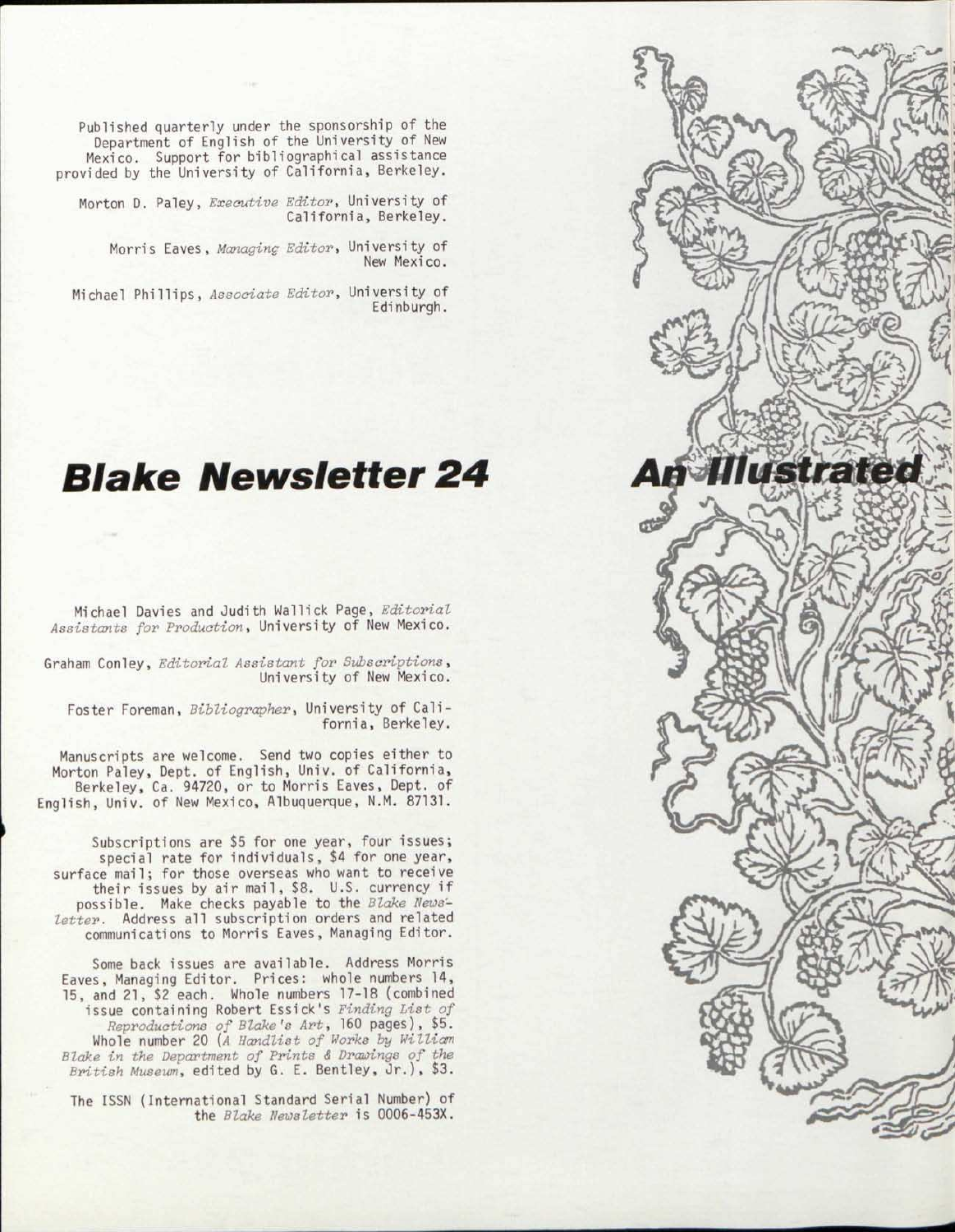Published quarterly under the sponsorship of the Department of English of the University of New Mexico. Support for bibliographical assistance provided by the University of California, Berkeley.

Morton D. Paley, *Executive Editor,* University of California, Berkeley.

Morris Eaves, *Managing Editor,* University of New Mexico.

Michael Phillips, *Associate Editor,* University of Edinburgh.

## *Blake Newsletter 24*

Michael Davies and Judith Wallick Page, *Editorial Assistants for Production,* University of New Mexico.

Graham Con ley, *Editorial Assistant for Subscriptions*, University of New Mexico.

Foster Foreman, *Bibliographer,* University of California, Berkeley.

Manuscripts are welcome. Send two copies either to Morton Paley, Dept. of English, Univ. of California , Berkeley, Ca. 94720, or to Morris Eaves, Dept. of English, Univ. of New Mexico, Albuquerque, N.M. 87131.

Subscriptions are \$5 for one year, four issues; special rate for individuals, \$4 for one year, surface mail; for those overseas who want to receive their issues by air mail, \$8. U.S. currency if possible. Make checks payable to the *Blake News-*Letter. Address all subscription orders and related communications to Morris Eaves, Managing Editor.

Some back issues are available. Address Morris Eaves, Managing Editor. Prices: whole numbers 14, 15, and 21 , \$2 each. Whole numbers 17-18 (combined issue containing Robert Essick's *Finding List of Reproductions of Blake's Art,* 160 pages), \$5. Whole number 20 *{A Handlist of Works by William Blake in the Department of Prints & Drawings of the British Museum,* edited by G. E. Bentley, Jr.) , \$3.

The ISSN (International Standard Serial Number) of the *Blake Newsletter* is 0006-453X.